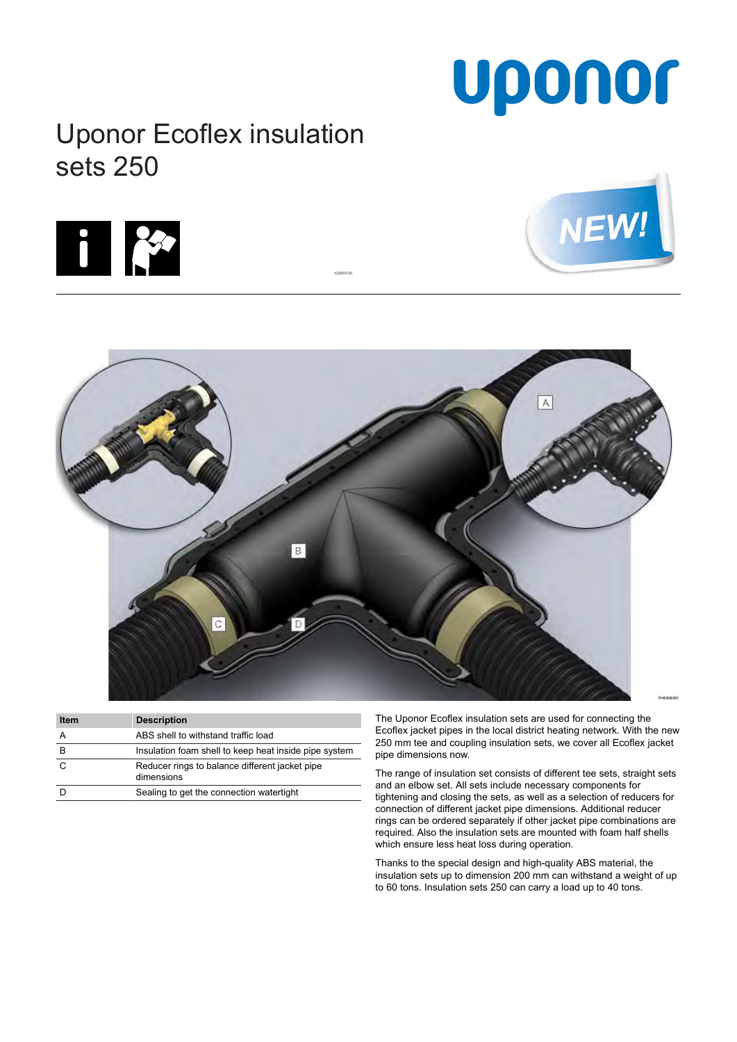# Uponor

## Uponor Ecoflex insulation sets 250







IC0000120

| <b>Item</b> | <b>Description</b>                                           |
|-------------|--------------------------------------------------------------|
|             | ABS shell to withstand traffic load                          |
| в           | Insulation foam shell to keep heat inside pipe system        |
| C           | Reducer rings to balance different jacket pipe<br>dimensions |
|             | Sealing to get the connection watertight                     |

The Uponor Ecoflex insulation sets are used for connecting the Ecoflex jacket pipes in the local district heating network. With the new 250 mm tee and coupling insulation sets, we cover all Ecoflex jacket pipe dimensions now.

The range of insulation set consists of different tee sets, straight sets and an elbow set. All sets include necessary components for tightening and closing the sets, as well as a selection of reducers for connection of different jacket pipe dimensions. Additional reducer rings can be ordered separately if other jacket pipe combinations are required. Also the insulation sets are mounted with foam half shells which ensure less heat loss during operation.

Thanks to the special design and high-quality ABS material, the insulation sets up to dimension 200 mm can withstand a weight of up to 60 tons. Insulation sets 250 can carry a load up to 40 tons.